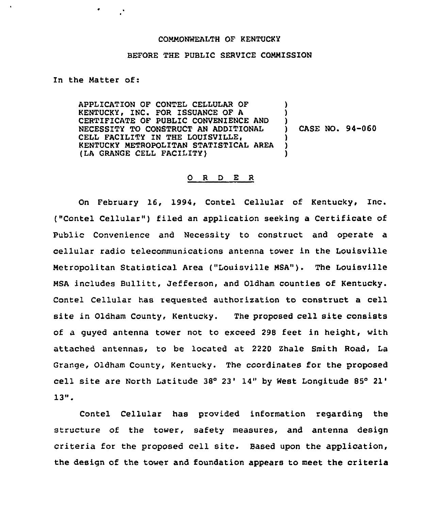## COMMONWEALTH OF KENTUCKY

## BEFORE THE PUBLIC SERVICE COMMISSION

In the Matter of:

 $\mathbb{R}^{\bullet}$ 

APPLICATION OF CONTEL CELLULAR OF KENTUCKY, INC. FOR ISSUANCE OF A CERTIFICATE OF PUBLIC CONVENIENCE AND NECESSITY TO CONSTRUCT AN ADDITIONAL CELL FACILITY IN THE LOUISVILLE, KENTUCKY METROPOLITAN STATISTICAL AREA (LA GRANGE CELL FACILITY)  $\lambda$ ) ) ) CASE NO. 94-060 ) ) )

## 0 <sup>R</sup> <sup>D</sup> E <sup>R</sup>

On February 16, 1994, Contel Cellular of Kentucky, Inc. ("Contel Cellular") filed an application seeking a Certificate of Public Convenience and Necessity to construct and operate a cellular radio telecommunications antenna tower in the Louisville Metropolitan Statistical Area ("Louisville MSA"). The Louisville MSA includes Bullitt, Jefferson, and Oldham counties of Kentucky. Contel Cellular has reguested authorisation to construct a cell site in Oldham County, Kentucky. The proposed cell site consists of a guyed antenna tower not to exceed 298 feet in height, with attached antennas, to be located at 2220 Zhale Smith Road, La Grange, Oldham County, Kentucky. The coordinates for the proposed cell site are North Latitude 38° 23' 14" by West Longitude 85° 21'  $13"$ .

Contel Cellular has provided information regarding the structure of the tower, safety measures, and antenna design criteria for the proposed cell site. Based upon the application, the design of the tower and foundation appears to meet the criteria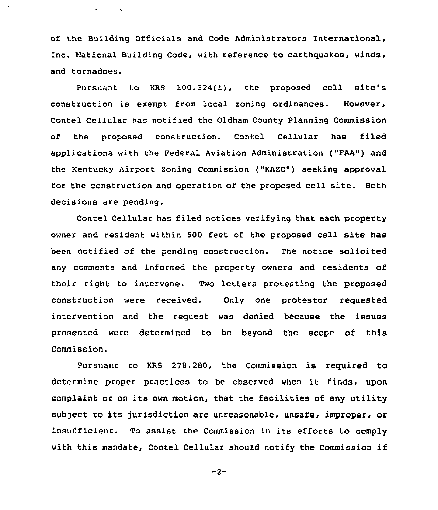of the Building Officials and Code Administrators International, Inc. National Building Code, with reference to earthquakes, winds, and tornadoes.

 $\bullet$  -  $\bullet$  -  $\bullet$  -  $\bullet$  -  $\bullet$  -  $\bullet$ 

Pursuant to KRS 100.324(1), the proposed cell site's construction is exempt from local zoning ordinances. However, Contel Cellular has notified the Oldham County Planning Commission of the proposed construction. Contel Cellular has filed applications with the Federal Aviation Administration ("FAA") and the Kentucky Airport Zoning Commission ("KAZC") seeking approval for the construction and operation of the proposed cell site. Both decisions are pending.

Contel Cellular has filed notices verifying that each property owner and resident within 500 feet of the proposed cell site has been notified of the pending construction. The notice solicited any comments and informed the property owners and residents of their right to intervene. Two letters protesting the proposed construction were received. Only one protestor requested intervention and the request was denied because the issues presented were determired to be beyond the scope of this Commission.

Pursuant to KRS 278.280, the Commission is required to determine proper practices to be observed when it finds, upon complaint or on its own motion, that the facilities of any utility subject to its jurisdiction are unreasonable, unsafe, improper, or insufficient. To assist the Commission in its efforts to comply with this mandate, Contel Cellular should notify the Commission if

$$
-2-
$$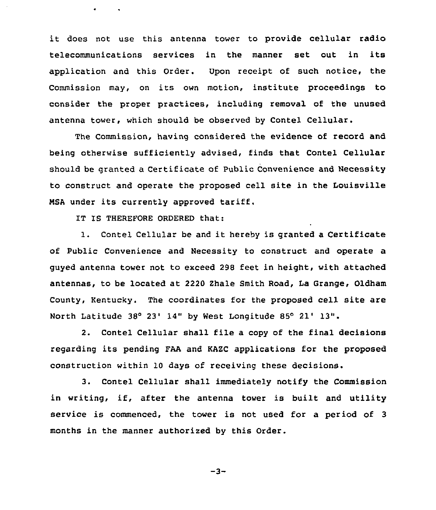it does not use this antenna tower to provide cellular radio telecommunications services in the manner set out in its application and this Order. Vpon receipt of such notice, the Commission may, on its own motion, institute proceedings to consider the proper practices, including removal of the unused antenna tower, which should be observed by Contel Cellular.

The Commission, having considered the evidence of record and being otherwise sufficiently advised, finds that Contel Cellular should be granted a Certificate of Public Convenience and Necessity to construct and operate the proposed cell site in the Louisville NSA under its currently approved tariff.

IT IS THEREFORE ORDERED that:

1. Contel Cellular be and it hereby is granted <sup>a</sup> Certificate of Public Convenience and Necessity to construct and operate a guyed antenna tower not to exceed 298 feet in height, with attached antennas, to be located at 2220 Zhale Smith Road, Ia Grange, Oldham County, Kentucky. The coordinates for the proposed cell site are North Latitude 38° 23' 14" by West Longitude 85° 21' 13".

2. Contel Cellular shall file a copy of the final decisions regarding its pending FAA and KAZC applications for the proposed construction within 10 days of receiving these decisions.

3. Contel Cellular shall immediately notify the Commission in writing, if, after the antenna tower is built and utility service is commenced, the tower is not used for a period of 3 months in the manner authorized by this Order.

 $-3-$